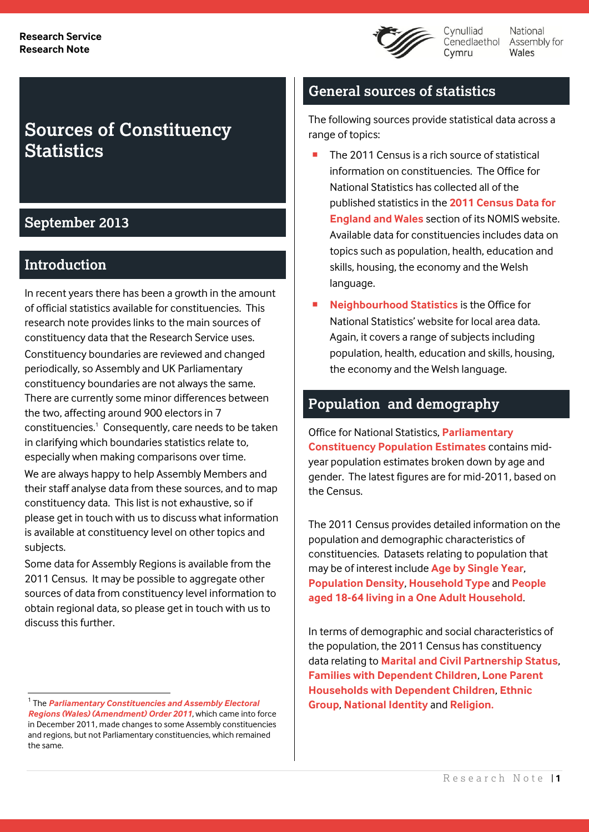

Cynulliad National Cenedlaethol Assembly for Cymru Wales

# **Sources of Constituency Statistics**

#### **September 2013**

#### **Introduction**

ı

In recent years there has been a growth in the amount of official statistics available for constituencies. This research note provides links to the main sources of constituency data that the Research Service uses. Constituency boundaries are reviewed and changed periodically, so Assembly and UK Parliamentary constituency boundaries are not always the same. There are currently some minor differences between the two, affecting around 900 electors in 7 constituencies.<sup>1</sup> Consequently, care needs to be taken in clarifying which boundaries statistics relate to, especially when making comparisons over time. We are always happy to help Assembly Members and their staff analyse data from these sources, and to map constituency data. This list is not exhaustive, so if please get in touch with us to discuss what information is available at constituency level on other topics and subjects.

Some data for Assembly Regions is available from the 2011 Census. It may be possible to aggregate other sources of data from constituency level information to obtain regional data, so please get in touch with us to discuss this further.

#### **General sources of statistics**

The following sources provide statistical data across a range of topics:

- The 2011 Census is a rich source of statistical information on constituencies. The Office for National Statistics has collected all of the published statistics in the **[2011 Census Data for](http://www.nomisweb.co.uk/census/2011)  [England and Wales](http://www.nomisweb.co.uk/census/2011)** section of its NOMIS website. Available data for constituencies includes data on topics such as population, health, education and skills, housing, the economy and the Welsh language.
- **[Neighbourhood Statistics](http://www.neighbourhood.statistics.gov.uk/dissemination/)** is the Office for National Statistics' website for local area data. Again, it covers a range of subjects including population, health, education and skills, housing, the economy and the Welsh language.

#### **Population and demography**

Office for National Statistics, **[Parliamentary](http://www.ons.gov.uk/ons/rel/sape/parliament-constituency-pop-est/index.html)  [Constituency Population Estimates](http://www.ons.gov.uk/ons/rel/sape/parliament-constituency-pop-est/index.html)** contains midyear population estimates broken down by age and gender. The latest figures are for mid-2011, based on the Census.

The 2011 Census provides detailed information on the population and demographic characteristics of constituencies. Datasets relating to population that may be of interest include **[Age by Single Year](http://www.nomisweb.co.uk/census/2011/qs103ew)**, **[Population Density](http://www.nomisweb.co.uk/census/2011/qs102ew)**, **[Household Type](http://www.nomisweb.co.uk/census/2011/qs116ew)** and **[People](http://www.nomisweb.co.uk/census/2011/qs117ew)  [aged 18-64 living in a One Adult Household](http://www.nomisweb.co.uk/census/2011/qs117ew)**.

In terms of demographic and social characteristics of the population, the 2011 Census has constituency data relating to **[Marital and Civil Partnership Status](http://www.nomisweb.co.uk/census/2011/ks103ew)**, **[Families with Dependent Children](http://www.nomisweb.co.uk/census/2011/qs118ew)**, **[Lone Parent](http://www.nomisweb.co.uk/census/2011/ks107ew)  [Households with Dependent Children](http://www.nomisweb.co.uk/census/2011/ks107ew)**, **[Ethnic](http://www.nomisweb.co.uk/census/2011/qs201ew)  [Group](http://www.nomisweb.co.uk/census/2011/qs201ew)**, **[National Identity](http://www.nomisweb.co.uk/census/2011/ks202ew)** and **[Religion.](http://www.nomisweb.co.uk/census/2011/ks209ew)**

<sup>&</sup>lt;sup>1</sup> The *Parliamentary Constituencies and Assembly Electoral [Regions \(Wales\) \(Amendment\) Order 2011](http://www.legislation.gov.uk/uksi/2011/2987/contents/made)*, which came into force in December 2011, made changes to some Assembly constituencies and regions, but not Parliamentary constituencies, which remained the same.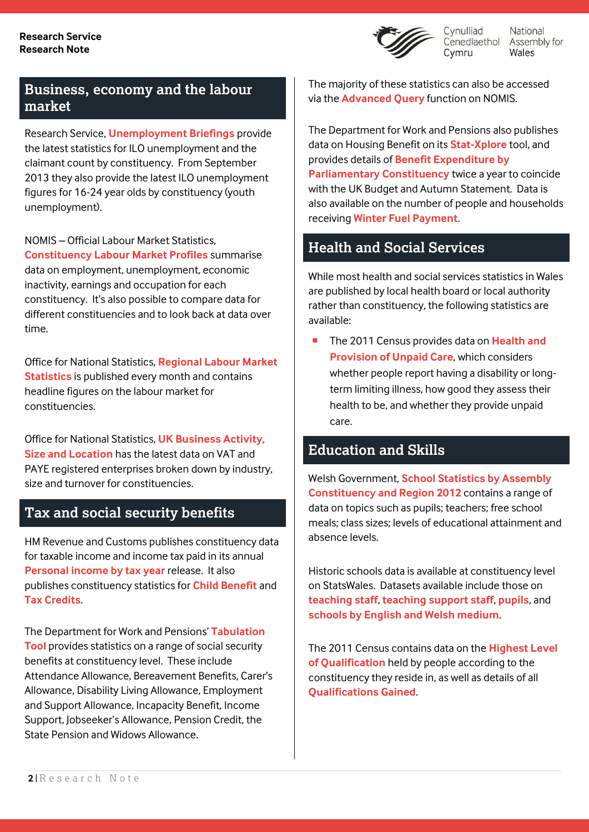

Cynulliad National Cenedlaethol Assembly for Cvmru Wales

#### **Business, economy and the labour market**

Research Service, **[Unemployment Briefings](http://www.assemblywales.org/bus-home/research/bus-assembly-research-publications/economy-transport/economy-transport-research-papers.htm)** provide the latest statistics for ILO unemployment and the claimant count by constituency. From September 2013 they also provide the latest ILO unemployment figures for 16-24 year olds by constituency (youth unemployment).

NOMIS – Official Labour Market Statistics, **[Constituency Labour Market Profiles](http://www.nomisweb.co.uk/reports/lmp/wpca/contents.aspx)** summarise data on employment, unemployment, economic inactivity, earnings and occupation for each constituency. It's also possible to compare data for different constituencies and to look back at data over time.

Office for National Statistics, **[Regional Labour Market](http://www.ons.gov.uk/ons/rel/subnational-labour/regional-labour-market-statistics/index.html)  [Statistics](http://www.ons.gov.uk/ons/rel/subnational-labour/regional-labour-market-statistics/index.html)** is published every month and contains headline figures on the labour market for constituencies.

Office for National Statistics, **[UK Business Activity,](http://www.ons.gov.uk/ons/rel/bus-register/uk-business/index.html)  [Size and Location](http://www.ons.gov.uk/ons/rel/bus-register/uk-business/index.html)** has the latest data on VAT and PAYE registered enterprises broken down by industry, size and turnover for constituencies.

#### **Tax and social security benefits**

HM Revenue and Customs publishes constituency data for taxable income and income tax paid in its annual **[Personal income by tax year](http://www.hmrc.gov.uk/statistics/income-by-year.htm)** release. It also publishes constituency statistics for **[Child Benefit](http://www.hmrc.gov.uk/statistics/child-geog-stats.htm)** and **[Tax Credits](http://www.hmrc.gov.uk/statistics/fin-geog-stats.htm)**.

The Department for Work and Pensions' **[Tabulation](http://tabulation-tool.dwp.gov.uk/100pc/tabtool.html)  [Tool](http://tabulation-tool.dwp.gov.uk/100pc/tabtool.html)** provides statistics on a range of social security benefits at constituency level. These include Attendance Allowance, Bereavement Benefits, Carer's Allowance, Disability Living Allowance, Employment and Support Allowance, Incapacity Benefit, Income Support, Jobseeker's Allowance, Pension Credit, the State Pension and Widows Allowance.

The majority of these statistics can also be accessed via the **[Advanced Query](http://www.nomisweb.co.uk/query/advanced.aspx)** function on NOMIS.

The Department for Work and Pensions also publishes data on Housing Benefit on its **[Stat-Xplore](https://sw.stat-xplore.dwp.gov.uk/webapi/jsf/dataCatalogueExplorer.xhtml)** tool, and provides details of **[Benefit Expenditure by](https://www.gov.uk/government/publications/benefit-expenditure-by-parliamentary-constituency)  [Parliamentary Constituency](https://www.gov.uk/government/publications/benefit-expenditure-by-parliamentary-constituency)** twice a year to coincide with the UK Budget and Autumn Statement. Data is also available on the number of people and households receiving **[Winter Fuel Payment](https://www.gov.uk/government/organisations/department-for-work-pensions/series/winter-fuel-payments-caseload-and-household-figures)**.

#### **Health and Social Services**

While most health and social services statistics in Wales are published by local health board or local authority rather than constituency, the following statistics are available:

 The 2011 Census provides data on **[Health and](http://www.nomisweb.co.uk/census/2011/ks301ew)  [Provision of Unpaid Care](http://www.nomisweb.co.uk/census/2011/ks301ew)**, which considers whether people report having a disability or longterm limiting illness, how good they assess their health to be, and whether they provide unpaid care.

#### **Education and Skills**

Welsh Government, **[School Statistics by Assembly](http://wales.gov.uk/topics/statistics/headlines/schools2013/school-statistics-assembly-constituency-region-2012/?lang=en)  [Constituency and Region 2012](http://wales.gov.uk/topics/statistics/headlines/schools2013/school-statistics-assembly-constituency-region-2012/?lang=en)** contains a range of data on topics such as pupils; teachers; free school meals; class sizes; levels of educational attainment and absence levels.

Historic schools data is available at constituency level on StatsWales. Datasets available include those on **[teaching staff](https://statswales.wales.gov.uk/Catalogue/Education-and-Skills/Schools-and-Teachers/Schools-Census/Independent-Schools/Teachers/Number-by-AssemblyConstituencyRegion-Gender-Category)**, **[teaching support staff](https://statswales.wales.gov.uk/Catalogue/Education-and-Skills/Schools-and-Teachers/Schools-Census/Independent-Schools/Support-Staff/Number-by-AssemblyConstituencyRegion-Category)**, **[pupils](https://statswales.wales.gov.uk/Catalogue/Education-and-Skills/Schools-and-Teachers/Schools-Census/Pupil-Level-Annual-School-Census/Pupils/Pupils-by-AssemblyConstituency-Sector)**, and **[schools by English and Welsh medium](https://statswales.wales.gov.uk/Catalogue/Education-and-Skills/Schools-and-Teachers/Schools-Census/Pupil-Level-Annual-School-Census/Schools/Schools-by-AssemblyConstituency-WelshMediumType)**.

The 2011 Census contains data on the **[Highest Level](http://www.nomisweb.co.uk/census/2011/qs501ew)  [of Qualification](http://www.nomisweb.co.uk/census/2011/qs501ew)** held by people according to the constituency they reside in, as well as details of all **[Qualifications Gained](http://www.nomisweb.co.uk/census/2011/qs502ew)**.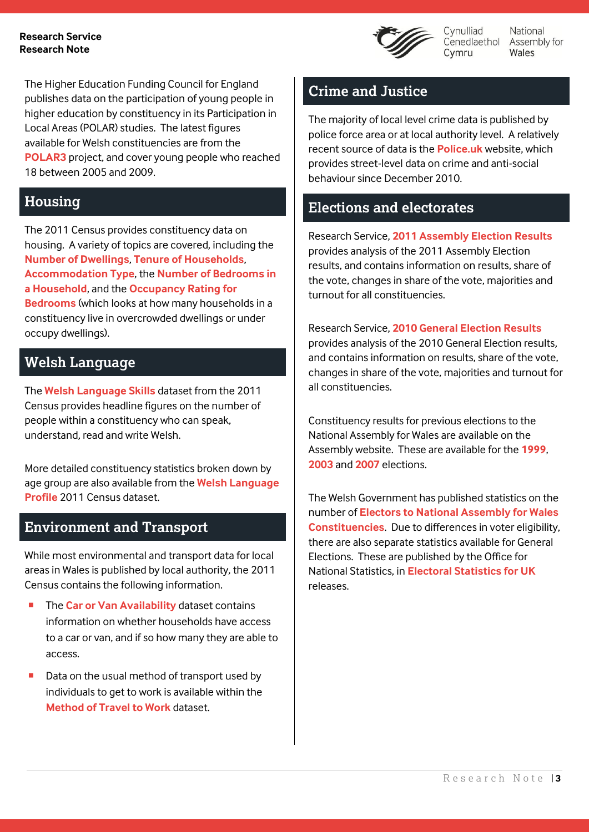#### **Research Service Research Note**



Cynulliad National Cenedlaethol Assembly for Wales Cvmru

The Higher Education Funding Council for England publishes data on the participation of young people in higher education by constituency in its Participation in Local Areas (POLAR) studies. The latest figures available for Welsh constituencies are from the **[POLAR3](http://www.hefce.ac.uk/whatwedo/wp/ourresearch/polar/polar3data/)** project, and cover young people who reached 18 between 2005 and 2009.

# **Housing**

The 2011 Census provides constituency data on housing. A variety of topics are covered, including the **[Number of Dwellings](http://www.nomisweb.co.uk/census/2011/qs418ew)**, **[Tenure of Households](http://www.nomisweb.co.uk/census/2011/qs405ew)**, **[Accommodation Type](http://www.nomisweb.co.uk/census/2011/qs402ew)**, the **[Number of Bedrooms in](http://www.nomisweb.co.uk/census/2011/qs411ew)  [a Household](http://www.nomisweb.co.uk/census/2011/qs411ew)**, and the **[Occupancy Rating for](http://www.nomisweb.co.uk/census/2011/qs412ew)  [Bedrooms](http://www.nomisweb.co.uk/census/2011/qs412ew)** (which looks at how many households in a constituency live in overcrowded dwellings or under occupy dwellings).

# **Welsh Language**

The **[Welsh Language Skills](http://www.nomisweb.co.uk/census/2011/qs206wa)** dataset from the 2011 Census provides headline figures on the number of people within a constituency who can speak, understand, read and write Welsh.

More detailed constituency statistics broken down by age group are also available from the **[Welsh Language](http://www.nomisweb.co.uk/census/2011/ks208wa)  [Profile](http://www.nomisweb.co.uk/census/2011/ks208wa)** 2011 Census dataset.

# **Environment and Transport**

While most environmental and transport data for local areas in Wales is published by local authority, the 2011 Census contains the following information.

- The **[Car or Van Availability](http://www.nomisweb.co.uk/census/2011/qs416ew)** dataset contains information on whether households have access to a car or van, and if so how many they are able to access.
- Data on the usual method of transport used by individuals to get to work is available within the **[Method of Travel to Work](http://www.nomisweb.co.uk/census/2011/qs701ew)** dataset.

### **Crime and Justice**

The majority of local level crime data is published by police force area or at local authority level. A relatively recent source of data is the **[Police.uk](http://www.police.uk/)** website, which provides street-level data on crime and anti-social behaviour since December 2010.

#### **Elections and electorates**

Research Service, **[2011 Assembly Election Results](http://www.assemblywales.org/11-023.pdf)** provides analysis of the 2011 Assembly Election results, and contains information on results, share of the vote, changes in share of the vote, majorities and turnout for all constituencies.

Research Service, **[2010 General Election Results](http://www.assemblywales.org/10-056.pdf)** provides analysis of the 2010 General Election results, and contains information on results, share of the vote, changes in share of the vote, majorities and turnout for all constituencies.

Constituency results for previous elections to the National Assembly for Wales are available on the Assembly website. These are available for the **[1999](http://www.assemblywales.org/abthome/role-of-assembly-how-it-works/abt-assembly-elections-2/abt-nafw-election-results/abt-nafw-election-results-1999.htm)**, **[2003](http://www.assemblywales.org/abthome/role-of-assembly-how-it-works/abt-assembly-elections-2/abt-nafw-election-results/abt-nafw-election-results-2003.htm)** and **[2007](http://www.assemblywales.org/abthome/role-of-assembly-how-it-works/abt-assembly-elections-2/abt-nafw-election-results/abt-nafw-election-results-2007.htm)** elections.

The Welsh Government has published statistics on the number of **[Electors to National Assembly for Wales](https://statswales.wales.gov.uk/Catalogue/Population-and-Migration/Electoral-Register/Electors-by-AssemblyConstituency-and-Year)  [Constituencies](https://statswales.wales.gov.uk/Catalogue/Population-and-Migration/Electoral-Register/Electors-by-AssemblyConstituency-and-Year)**. Due to differences in voter eligibility, there are also separate statistics available for General Elections. These are published by the Office for National Statistics, in **[Electoral Statistics for UK](http://www.ons.gov.uk/ons/rel/pop-estimate/electoral-statistics-for-uk/index.html)** releases.